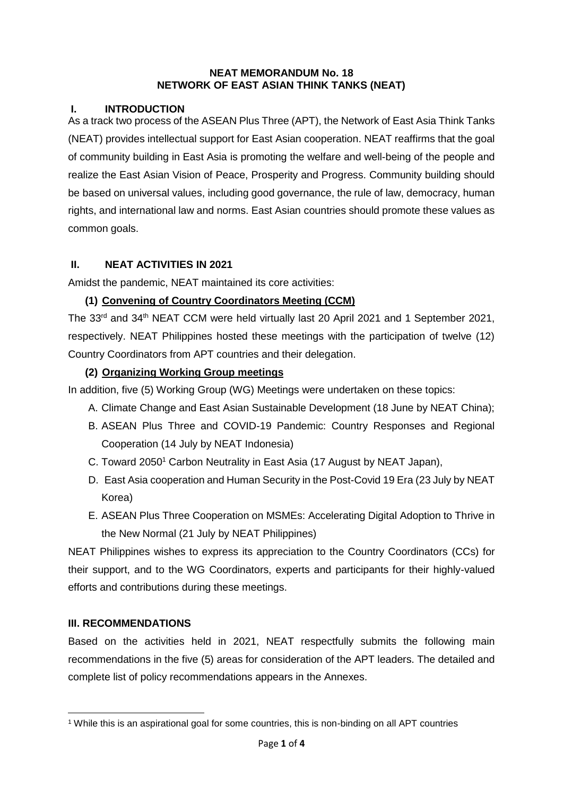#### **NEAT MEMORANDUM No. 18 NETWORK OF EAST ASIAN THINK TANKS (NEAT)**

### **I. INTRODUCTION**

As a track two process of the ASEAN Plus Three (APT), the Network of East Asia Think Tanks (NEAT) provides intellectual support for East Asian cooperation. NEAT reaffirms that the goal of community building in East Asia is promoting the welfare and well-being of the people and realize the East Asian Vision of Peace, Prosperity and Progress. Community building should be based on universal values, including good governance, the rule of law, democracy, human rights, and international law and norms. East Asian countries should promote these values as common goals.

#### **II. NEAT ACTIVITIES IN 2021**

Amidst the pandemic, NEAT maintained its core activities:

### **(1) Convening of Country Coordinators Meeting (CCM)**

The  $33<sup>rd</sup>$  and  $34<sup>th</sup>$  NEAT CCM were held virtually last 20 April 2021 and 1 September 2021, respectively. NEAT Philippines hosted these meetings with the participation of twelve (12) Country Coordinators from APT countries and their delegation.

### **(2) Organizing Working Group meetings**

In addition, five (5) Working Group (WG) Meetings were undertaken on these topics:

- A. Climate Change and East Asian Sustainable Development (18 June by NEAT China);
- B. ASEAN Plus Three and COVID-19 Pandemic: Country Responses and Regional Cooperation (14 July by NEAT Indonesia)
- C. Toward 2050<sup>1</sup> Carbon Neutrality in East Asia (17 August by NEAT Japan),
- D. East Asia cooperation and Human Security in the Post-Covid 19 Era (23 July by NEAT Korea)
- E. ASEAN Plus Three Cooperation on MSMEs: Accelerating Digital Adoption to Thrive in the New Normal (21 July by NEAT Philippines)

NEAT Philippines wishes to express its appreciation to the Country Coordinators (CCs) for their support, and to the WG Coordinators, experts and participants for their highly-valued efforts and contributions during these meetings.

#### **III. RECOMMENDATIONS**

**.** 

Based on the activities held in 2021, NEAT respectfully submits the following main recommendations in the five (5) areas for consideration of the APT leaders. The detailed and complete list of policy recommendations appears in the Annexes.

<sup>1</sup> While this is an aspirational goal for some countries, this is non-binding on all APT countries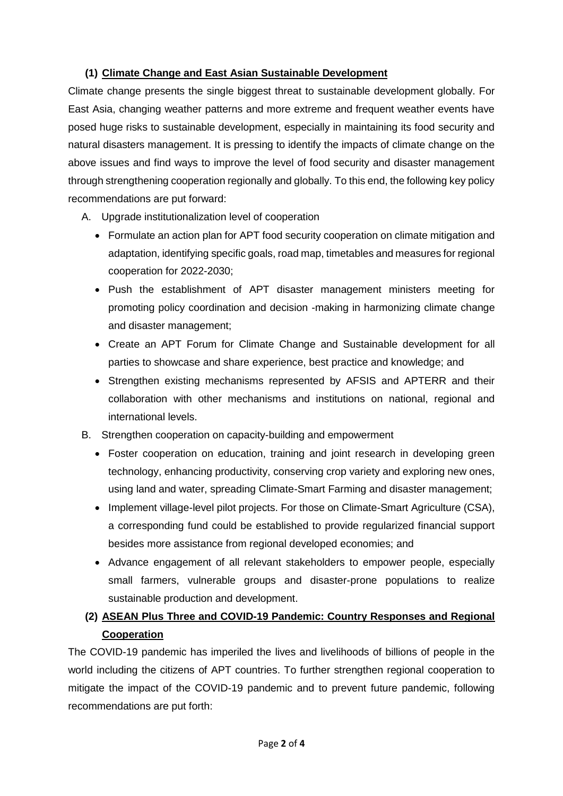## **(1) Climate Change and East Asian Sustainable Development**

Climate change presents the single biggest threat to sustainable development globally. For East Asia, changing weather patterns and more extreme and frequent weather events have posed huge risks to sustainable development, especially in maintaining its food security and natural disasters management. It is pressing to identify the impacts of climate change on the above issues and find ways to improve the level of food security and disaster management through strengthening cooperation regionally and globally. To this end, the following key policy recommendations are put forward:

- A. Upgrade institutionalization level of cooperation
	- Formulate an action plan for APT food security cooperation on climate mitigation and adaptation, identifying specific goals, road map, timetables and measures for regional cooperation for 2022-2030;
	- Push the establishment of APT disaster management ministers meeting for promoting policy coordination and decision -making in harmonizing climate change and disaster management;
	- Create an APT Forum for Climate Change and Sustainable development for all parties to showcase and share experience, best practice and knowledge; and
	- Strengthen existing mechanisms represented by AFSIS and APTERR and their collaboration with other mechanisms and institutions on national, regional and international levels.
- B. Strengthen cooperation on capacity-building and empowerment
	- Foster cooperation on education, training and joint research in developing green technology, enhancing productivity, conserving crop variety and exploring new ones, using land and water, spreading Climate-Smart Farming and disaster management;
	- Implement village-level pilot projects. For those on Climate-Smart Agriculture (CSA), a corresponding fund could be established to provide regularized financial support besides more assistance from regional developed economies; and
	- Advance engagement of all relevant stakeholders to empower people, especially small farmers, vulnerable groups and disaster-prone populations to realize sustainable production and development.

# **(2) ASEAN Plus Three and COVID-19 Pandemic: Country Responses and Regional Cooperation**

The COVID-19 pandemic has imperiled the lives and livelihoods of billions of people in the world including the citizens of APT countries. To further strengthen regional cooperation to mitigate the impact of the COVID-19 pandemic and to prevent future pandemic, following recommendations are put forth: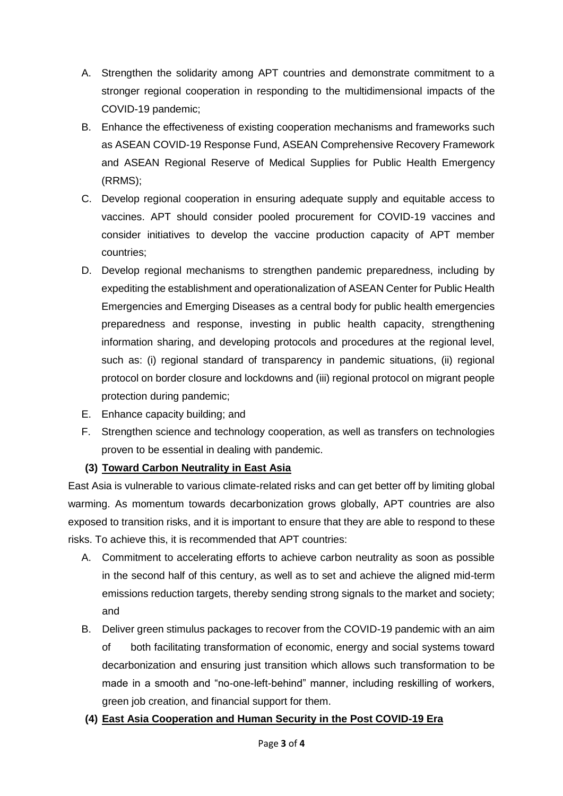- A. Strengthen the solidarity among APT countries and demonstrate commitment to a stronger regional cooperation in responding to the multidimensional impacts of the COVID-19 pandemic;
- B. Enhance the effectiveness of existing cooperation mechanisms and frameworks such as ASEAN COVID-19 Response Fund, ASEAN Comprehensive Recovery Framework and ASEAN Regional Reserve of Medical Supplies for Public Health Emergency (RRMS);
- C. Develop regional cooperation in ensuring adequate supply and equitable access to vaccines. APT should consider pooled procurement for COVID-19 vaccines and consider initiatives to develop the vaccine production capacity of APT member countries;
- D. Develop regional mechanisms to strengthen pandemic preparedness, including by expediting the establishment and operationalization of ASEAN Center for Public Health Emergencies and Emerging Diseases as a central body for public health emergencies preparedness and response, investing in public health capacity, strengthening information sharing, and developing protocols and procedures at the regional level, such as: (i) regional standard of transparency in pandemic situations, (ii) regional protocol on border closure and lockdowns and (iii) regional protocol on migrant people protection during pandemic;
- E. Enhance capacity building; and
- F. Strengthen science and technology cooperation, as well as transfers on technologies proven to be essential in dealing with pandemic.

# **(3) Toward Carbon Neutrality in East Asia**

East Asia is vulnerable to various climate-related risks and can get better off by limiting global warming. As momentum towards decarbonization grows globally, APT countries are also exposed to transition risks, and it is important to ensure that they are able to respond to these risks. To achieve this, it is recommended that APT countries:

- A. Commitment to accelerating efforts to achieve carbon neutrality as soon as possible in the second half of this century, as well as to set and achieve the aligned mid-term emissions reduction targets, thereby sending strong signals to the market and society; and
- B. Deliver green stimulus packages to recover from the COVID-19 pandemic with an aim of both facilitating transformation of economic, energy and social systems toward decarbonization and ensuring just transition which allows such transformation to be made in a smooth and "no-one-left-behind" manner, including reskilling of workers, green job creation, and financial support for them.
- **(4) East Asia Cooperation and Human Security in the Post COVID-19 Era**